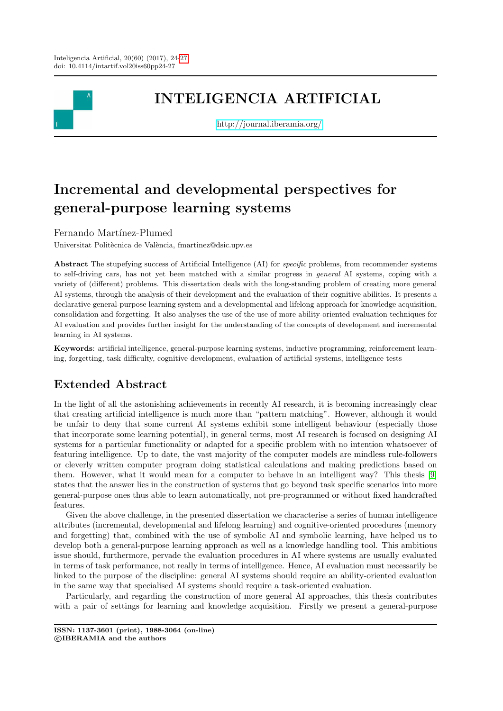

## INTELIGENCIA ARTIFICIAL

<http://journal.iberamia.org/>

# Incremental and developmental perspectives for general-purpose learning systems

Fernando Martínez-Plumed

Universitat Politècnica de València, fmartinez@dsic.upv.es

Abstract The stupefying success of Artificial Intelligence (AI) for *specific* problems, from recommender systems to self-driving cars, has not yet been matched with a similar progress in general AI systems, coping with a variety of (different) problems. This dissertation deals with the long-standing problem of creating more general AI systems, through the analysis of their development and the evaluation of their cognitive abilities. It presents a declarative general-purpose learning system and a developmental and lifelong approach for knowledge acquisition, consolidation and forgetting. It also analyses the use of the use of more ability-oriented evaluation techniques for AI evaluation and provides further insight for the understanding of the concepts of development and incremental learning in AI systems.

Keywords: artificial intelligence, general-purpose learning systems, inductive programming, reinforcement learning, forgetting, task difficulty, cognitive development, evaluation of artificial systems, intelligence tests

## Extended Abstract

In the light of all the astonishing achievements in recently AI research, it is becoming increasingly clear that creating artificial intelligence is much more than "pattern matching". However, although it would be unfair to deny that some current AI systems exhibit some intelligent behaviour (especially those that incorporate some learning potential), in general terms, most AI research is focused on designing AI systems for a particular functionality or adapted for a specific problem with no intention whatsoever of featuring intelligence. Up to date, the vast majority of the computer models are mindless rule-followers or cleverly written computer program doing statistical calculations and making predictions based on them. However, what it would mean for a computer to behave in an intelligent way? This thesis [\[9\]](#page-3-1) states that the answer lies in the construction of systems that go beyond task specific scenarios into more general-purpose ones thus able to learn automatically, not pre-programmed or without fixed handcrafted features.

Given the above challenge, in the presented dissertation we characterise a series of human intelligence attributes (incremental, developmental and lifelong learning) and cognitive-oriented procedures (memory and forgetting) that, combined with the use of symbolic AI and symbolic learning, have helped us to develop both a general-purpose learning approach as well as a knowledge handling tool. This ambitious issue should, furthermore, pervade the evaluation procedures in AI where systems are usually evaluated in terms of task performance, not really in terms of intelligence. Hence, AI evaluation must necessarily be linked to the purpose of the discipline: general AI systems should require an ability-oriented evaluation in the same way that specialised AI systems should require a task-oriented evaluation.

Particularly, and regarding the construction of more general AI approaches, this thesis contributes with a pair of settings for learning and knowledge acquisition. Firstly we present a general-purpose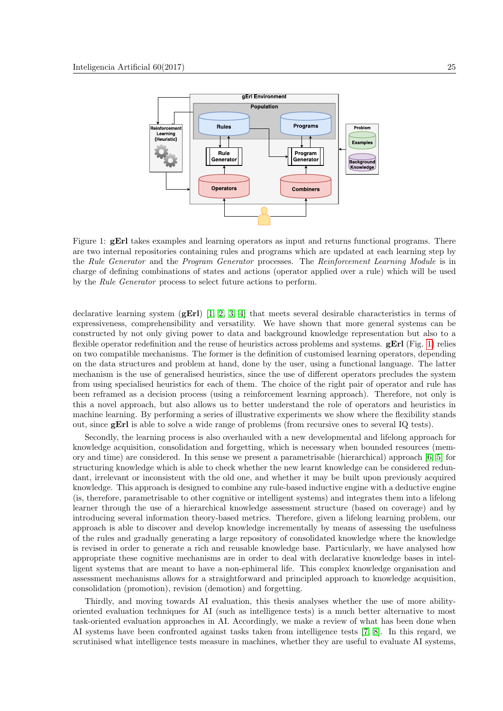

<span id="page-1-0"></span>Figure 1: **gErl** takes examples and learning operators as input and returns functional programs. There are two internal repositories containing rules and programs which are updated at each learning step by the Rule Generator and the Program Generator processes. The Reinforcement Learning Module is in charge of defining combinations of states and actions (operator applied over a rule) which will be used by the Rule Generator process to select future actions to perform.

declarative learning system  $(gEri)$  [\[1,](#page-3-2) [2,](#page-3-3) [3,](#page-3-4) [4\]](#page-3-5) that meets several desirable characteristics in terms of expressiveness, comprehensibility and versatility. We have shown that more general systems can be constructed by not only giving power to data and background knowledge representation but also to a flexible operator redefinition and the reuse of heuristics across problems and systems.  $gErl$  (Fig. [1\)](#page-1-0) relies on two compatible mechanisms. The former is the definition of customised learning operators, depending on the data structures and problem at hand, done by the user, using a functional language. The latter mechanism is the use of generalised heuristics, since the use of different operators precludes the system from using specialised heuristics for each of them. The choice of the right pair of operator and rule has been reframed as a decision process (using a reinforcement learning approach). Therefore, not only is this a novel approach, but also allows us to better understand the role of operators and heuristics in machine learning. By performing a series of illustrative experiments we show where the flexibility stands out, since gErl is able to solve a wide range of problems (from recursive ones to several IQ tests).

Secondly, the learning process is also overhauled with a new developmental and lifelong approach for knowledge acquisition, consolidation and forgetting, which is necessary when bounded resources (memory and time) are considered. In this sense we present a parametrisable (hierarchical) approach [\[6,](#page-3-6) [5\]](#page-3-7) for structuring knowledge which is able to check whether the new learnt knowledge can be considered redundant, irrelevant or inconsistent with the old one, and whether it may be built upon previously acquired knowledge. This approach is designed to combine any rule-based inductive engine with a deductive engine (is, therefore, parametrisable to other cognitive or intelligent systems) and integrates them into a lifelong learner through the use of a hierarchical knowledge assessment structure (based on coverage) and by introducing several information theory-based metrics. Therefore, given a lifelong learning problem, our approach is able to discover and develop knowledge incrementally by means of assessing the usefulness of the rules and gradually generating a large repository of consolidated knowledge where the knowledge is revised in order to generate a rich and reusable knowledge base. Particularly, we have analysed how appropriate these cognitive mechanisms are in order to deal with declarative knowledge bases in intelligent systems that are meant to have a non-ephimeral life. This complex knowledge organisation and assessment mechanisms allows for a straightforward and principled approach to knowledge acquisition, consolidation (promotion), revision (demotion) and forgetting.

Thirdly, and moving towards AI evaluation, this thesis analyses whether the use of more abilityoriented evaluation techniques for AI (such as intelligence tests) is a much better alternative to most task-oriented evaluation approaches in AI. Accordingly, we make a review of what has been done when AI systems have been confronted against tasks taken from intelligence tests [\[7,](#page-3-8) [8\]](#page-3-9). In this regard, we scrutinised what intelligence tests measure in machines, whether they are useful to evaluate AI systems,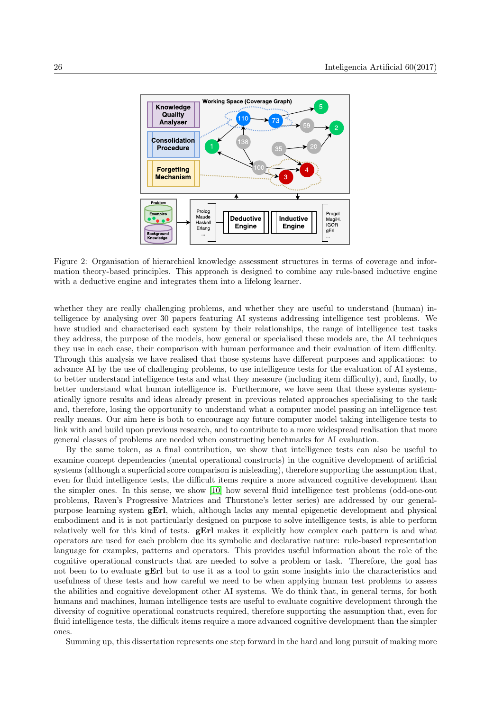

Figure 2: Organisation of hierarchical knowledge assessment structures in terms of coverage and information theory-based principles. This approach is designed to combine any rule-based inductive engine with a deductive engine and integrates them into a lifelong learner.

whether they are really challenging problems, and whether they are useful to understand (human) intelligence by analysing over 30 papers featuring AI systems addressing intelligence test problems. We have studied and characterised each system by their relationships, the range of intelligence test tasks they address, the purpose of the models, how general or specialised these models are, the AI techniques they use in each case, their comparison with human performance and their evaluation of item difficulty. Through this analysis we have realised that those systems have different purposes and applications: to advance AI by the use of challenging problems, to use intelligence tests for the evaluation of AI systems, to better understand intelligence tests and what they measure (including item difficulty), and, finally, to better understand what human intelligence is. Furthermore, we have seen that these systems systematically ignore results and ideas already present in previous related approaches specialising to the task and, therefore, losing the opportunity to understand what a computer model passing an intelligence test really means. Our aim here is both to encourage any future computer model taking intelligence tests to link with and build upon previous research, and to contribute to a more widespread realisation that more general classes of problems are needed when constructing benchmarks for AI evaluation.

By the same token, as a final contribution, we show that intelligence tests can also be useful to examine concept dependencies (mental operational constructs) in the cognitive development of artificial systems (although a superficial score comparison is misleading), therefore supporting the assumption that, even for fluid intelligence tests, the difficult items require a more advanced cognitive development than the simpler ones. In this sense, we show [\[10\]](#page-3-10) how several fluid intelligence test problems (odd-one-out problems, Raven's Progressive Matrices and Thurstone's letter series) are addressed by our generalpurpose learning system gErl, which, although lacks any mental epigenetic development and physical embodiment and it is not particularly designed on purpose to solve intelligence tests, is able to perform relatively well for this kind of tests. **gErl** makes it explicitly how complex each pattern is and what operators are used for each problem due its symbolic and declarative nature: rule-based representation language for examples, patterns and operators. This provides useful information about the role of the cognitive operational constructs that are needed to solve a problem or task. Therefore, the goal has not been to to evaluate  $gErl$  but to use it as a tool to gain some insights into the characteristics and usefulness of these tests and how careful we need to be when applying human test problems to assess the abilities and cognitive development other AI systems. We do think that, in general terms, for both humans and machines, human intelligence tests are useful to evaluate cognitive development through the diversity of cognitive operational constructs required, therefore supporting the assumption that, even for fluid intelligence tests, the difficult items require a more advanced cognitive development than the simpler ones.

Summing up, this dissertation represents one step forward in the hard and long pursuit of making more